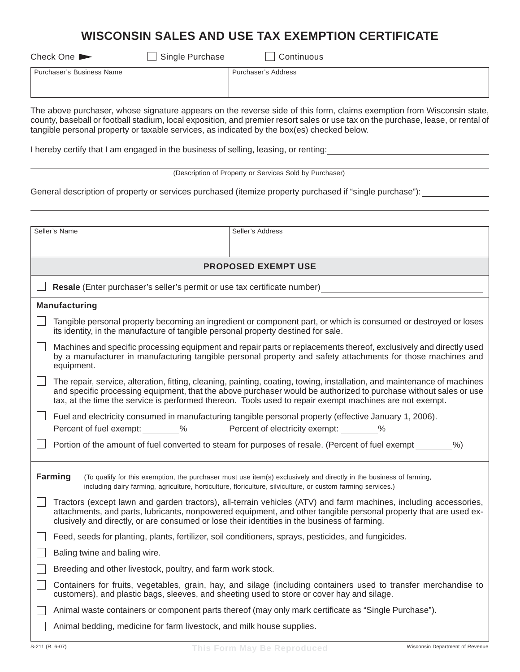# **WISCONSIN SALES AND USE TAX EXEMPTION CERTIFICATE**

Check One Single Purchase Check One Single Purchase

| Purchaser's Business Name | Purchaser's Address |
|---------------------------|---------------------|
|                           |                     |
|                           |                     |

The above purchaser, whose signature appears on the reverse side of this form, claims exemption from Wisconsin state, county, baseball or football stadium, local exposition, and premier resort sales or use tax on the purchase, lease, or rental of tangible personal property or taxable services, as indicated by the box(es) checked below.

I hereby certify that I am engaged in the business of selling, leasing, or renting:

|  | (Description of Property or Services Sold by Purchaser) |  |
|--|---------------------------------------------------------|--|
|  |                                                         |  |

General description of property or services purchased (itemize property purchased if "single purchase"):

|                                                                                                                                                                                                                                                | Seller's Name                                                                                | Seller's Address                                                                                                                                                                                                                                                                                                                                        |
|------------------------------------------------------------------------------------------------------------------------------------------------------------------------------------------------------------------------------------------------|----------------------------------------------------------------------------------------------|---------------------------------------------------------------------------------------------------------------------------------------------------------------------------------------------------------------------------------------------------------------------------------------------------------------------------------------------------------|
|                                                                                                                                                                                                                                                |                                                                                              |                                                                                                                                                                                                                                                                                                                                                         |
|                                                                                                                                                                                                                                                |                                                                                              |                                                                                                                                                                                                                                                                                                                                                         |
|                                                                                                                                                                                                                                                |                                                                                              | <b>PROPOSED EXEMPT USE</b>                                                                                                                                                                                                                                                                                                                              |
|                                                                                                                                                                                                                                                | Resale (Enter purchaser's seller's permit or use tax certificate number)                     |                                                                                                                                                                                                                                                                                                                                                         |
|                                                                                                                                                                                                                                                | <b>Manufacturing</b>                                                                         |                                                                                                                                                                                                                                                                                                                                                         |
|                                                                                                                                                                                                                                                | its identity, in the manufacture of tangible personal property destined for sale.            | Tangible personal property becoming an ingredient or component part, or which is consumed or destroyed or loses                                                                                                                                                                                                                                         |
|                                                                                                                                                                                                                                                | equipment.                                                                                   | Machines and specific processing equipment and repair parts or replacements thereof, exclusively and directly used<br>by a manufacturer in manufacturing tangible personal property and safety attachments for those machines and                                                                                                                       |
|                                                                                                                                                                                                                                                |                                                                                              | The repair, service, alteration, fitting, cleaning, painting, coating, towing, installation, and maintenance of machines<br>and specific processing equipment, that the above purchaser would be authorized to purchase without sales or use<br>tax, at the time the service is performed thereon. Tools used to repair exempt machines are not exempt. |
|                                                                                                                                                                                                                                                |                                                                                              | Fuel and electricity consumed in manufacturing tangible personal property (effective January 1, 2006).                                                                                                                                                                                                                                                  |
|                                                                                                                                                                                                                                                | Percent of fuel exempt: %                                                                    | Percent of electricity exempt: %                                                                                                                                                                                                                                                                                                                        |
|                                                                                                                                                                                                                                                |                                                                                              | Portion of the amount of fuel converted to steam for purposes of resale. (Percent of fuel exempt<br>$%$ )                                                                                                                                                                                                                                               |
|                                                                                                                                                                                                                                                |                                                                                              |                                                                                                                                                                                                                                                                                                                                                         |
| Farming<br>(To qualify for this exemption, the purchaser must use item(s) exclusively and directly in the business of farming,<br>including dairy farming, agriculture, horticulture, floriculture, silviculture, or custom farming services.) |                                                                                              |                                                                                                                                                                                                                                                                                                                                                         |
|                                                                                                                                                                                                                                                | clusively and directly, or are consumed or lose their identities in the business of farming. | Tractors (except lawn and garden tractors), all-terrain vehicles (ATV) and farm machines, including accessories,<br>attachments, and parts, lubricants, nonpowered equipment, and other tangible personal property that are used ex-                                                                                                                    |
|                                                                                                                                                                                                                                                |                                                                                              | Feed, seeds for planting, plants, fertilizer, soil conditioners, sprays, pesticides, and fungicides.                                                                                                                                                                                                                                                    |
|                                                                                                                                                                                                                                                | Baling twine and baling wire.                                                                |                                                                                                                                                                                                                                                                                                                                                         |
|                                                                                                                                                                                                                                                | Breeding and other livestock, poultry, and farm work stock.                                  |                                                                                                                                                                                                                                                                                                                                                         |
|                                                                                                                                                                                                                                                | customers), and plastic bags, sleeves, and sheeting used to store or cover hay and silage.   | Containers for fruits, vegetables, grain, hay, and silage (including containers used to transfer merchandise to                                                                                                                                                                                                                                         |
|                                                                                                                                                                                                                                                |                                                                                              | Animal waste containers or component parts thereof (may only mark certificate as "Single Purchase").                                                                                                                                                                                                                                                    |
|                                                                                                                                                                                                                                                | Animal bedding, medicine for farm livestock, and milk house supplies.                        |                                                                                                                                                                                                                                                                                                                                                         |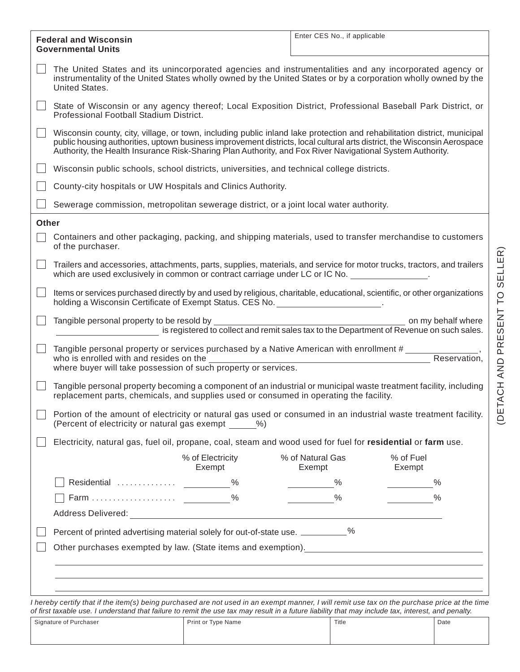| <b>Federal and Wisconsin</b><br><b>Governmental Units</b> |                                                                                                                                                                                                                                                                                                                                                                   | Enter CES No., if applicable                                                                                   |  |
|-----------------------------------------------------------|-------------------------------------------------------------------------------------------------------------------------------------------------------------------------------------------------------------------------------------------------------------------------------------------------------------------------------------------------------------------|----------------------------------------------------------------------------------------------------------------|--|
|                                                           | The United States and its unincorporated agencies and instrumentalities and any incorporated agency or<br>instrumentality of the United States wholly owned by the United States or by a corporation wholly owned by the<br>United States.                                                                                                                        |                                                                                                                |  |
|                                                           | State of Wisconsin or any agency thereof; Local Exposition District, Professional Baseball Park District, or<br>Professional Football Stadium District.                                                                                                                                                                                                           |                                                                                                                |  |
|                                                           | Wisconsin county, city, village, or town, including public inland lake protection and rehabilitation district, municipal<br>public housing authorities, uptown business improvement districts, local cultural arts district, the Wisconsin Aerospace<br>Authority, the Health Insurance Risk-Sharing Plan Authority, and Fox River Navigational System Authority. |                                                                                                                |  |
|                                                           | Wisconsin public schools, school districts, universities, and technical college districts.                                                                                                                                                                                                                                                                        |                                                                                                                |  |
|                                                           | County-city hospitals or UW Hospitals and Clinics Authority.                                                                                                                                                                                                                                                                                                      |                                                                                                                |  |
|                                                           | Sewerage commission, metropolitan sewerage district, or a joint local water authority.                                                                                                                                                                                                                                                                            |                                                                                                                |  |
| <b>Other</b>                                              |                                                                                                                                                                                                                                                                                                                                                                   |                                                                                                                |  |
|                                                           | Containers and other packaging, packing, and shipping materials, used to transfer merchandise to customers<br>of the purchaser.                                                                                                                                                                                                                                   |                                                                                                                |  |
|                                                           | Trailers and accessories, attachments, parts, supplies, materials, and service for motor trucks, tractors, and trailers<br>which are used exclusively in common or contract carriage under LC or IC No.                                                                                                                                                           |                                                                                                                |  |
|                                                           | Items or services purchased directly by and used by religious, charitable, educational, scientific, or other organizations<br>holding a Wisconsin Certificate of Exempt Status. CES No.                                                                                                                                                                           |                                                                                                                |  |
|                                                           | Tangible personal property to be resold by                                                                                                                                                                                                                                                                                                                        | on my behalf where<br>is registered to collect and remit sales tax to the Department of Revenue on such sales. |  |
|                                                           | Tangible personal property or services purchased by a Native American with enrollment #<br>who is enrolled with and resides on the<br>where buyer will take possession of such property or services.                                                                                                                                                              | Reservation,                                                                                                   |  |
|                                                           | Tangible personal property becoming a component of an industrial or municipal waste treatment facility, including<br>replacement parts, chemicals, and supplies used or consumed in operating the facility.                                                                                                                                                       |                                                                                                                |  |
|                                                           | Portion of the amount of electricity or natural gas used or consumed in an industrial waste treatment facility.<br>(Percent of electricity or natural gas exempt %)                                                                                                                                                                                               |                                                                                                                |  |
|                                                           | Electricity, natural gas, fuel oil, propane, coal, steam and wood used for fuel for residential or farm use.                                                                                                                                                                                                                                                      |                                                                                                                |  |
|                                                           | % of Electricity<br>Exempt                                                                                                                                                                                                                                                                                                                                        | % of Natural Gas<br>% of Fuel<br>Exempt<br>Exempt                                                              |  |
|                                                           |                                                                                                                                                                                                                                                                                                                                                                   | $\%$<br>%                                                                                                      |  |
|                                                           |                                                                                                                                                                                                                                                                                                                                                                   | $\%$<br>$\%$                                                                                                   |  |
|                                                           |                                                                                                                                                                                                                                                                                                                                                                   |                                                                                                                |  |
|                                                           | Percent of printed advertising material solely for out-of-state use. __________%                                                                                                                                                                                                                                                                                  |                                                                                                                |  |
|                                                           | Other purchases exempted by law. (State items and exemption). [2010] [2010] [2010] [2010] [2010] [2010] [2010                                                                                                                                                                                                                                                     |                                                                                                                |  |
|                                                           | ,我们也不会有什么。""我们的人,我们也不会有什么?""我们的人,我们也不会有什么?""我们的人,我们也不会有什么?""我们的人,我们也不会有什么?""我们的人                                                                                                                                                                                                                                                                                  |                                                                                                                |  |
|                                                           | ,我们也不会有什么。""我们的人,我们也不会有什么?""我们的人,我们也不会有什么?""我们的人,我们也不会有什么?""我们的人,我们也不会有什么?""我们的人                                                                                                                                                                                                                                                                                  |                                                                                                                |  |
|                                                           |                                                                                                                                                                                                                                                                                                                                                                   |                                                                                                                |  |

*I hereby certify that if the item(s) being purchased are not used in an exempt manner, I will remit use tax on the purchase price at the time of first taxable use. I understand that failure to remit the use tax may result in a future liability that may include tax, interest, and penalty.*

| Signature of Purchaser | Print or Type Name | Title | Date |
|------------------------|--------------------|-------|------|
|                        |                    |       |      |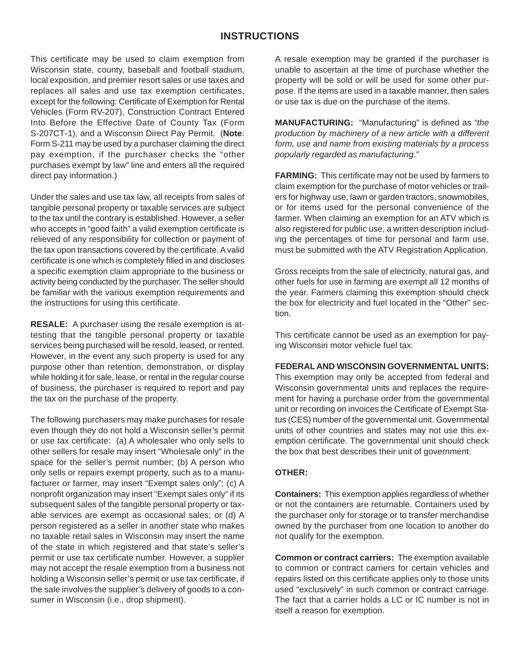## **INSTRUCTIONS**

This certificate may be used to claim exemption from Wisconsin state, county, baseball and football stadium, local exposition, and premier resort sales or use taxes and replaces all sales and use tax exemption certificates, except for the following: Certificate of Exemption for Rental Vehicles (Form RV-207), Construction Contract Entered Into Before the Effective Date of County Tax (Form S-207CT-1), and a Wisconsin Direct Pay Permit. (**Note**: Form S-211 may be used by a purchaser claiming the direct pay exemption, if the purchaser checks the "other purchases exempt by law" line and enters all the required direct pay information.)

Under the sales and use tax law, all receipts from sales of tangible personal property or taxable services are subject to the tax until the contrary is established. However, a seller who accepts in "good faith" a valid exemption certificate is relieved of any responsibility for collection or payment of the tax upon transactions covered by the certificate. A valid certificate is one which is completely filled in and discloses a specific exemption claim appropriate to the business or activity being conducted by the purchaser. The seller should be familiar with the various exemption requirements and the instructions for using this certificate.

**RESALE:** A purchaser using the resale exemption is attesting that the tangible personal property or taxable services being purchased will be resold, leased, or rented. However, in the event any such property is used for any purpose other than retention, demonstration, or display while holding it for sale, lease, or rental in the regular course of business, the purchaser is required to report and pay the tax on the purchase of the property.

The following purchasers may make purchases for resale even though they do not hold a Wisconsin seller's permit or use tax certificate: (a) A wholesaler who only sells to other sellers for resale may insert "Wholesale only" in the space for the seller's permit number; (b) A person who only sells or repairs exempt property, such as to a manufacturer or farmer, may insert "Exempt sales only"; (c) A nonprofit organization may insert "Exempt sales only" if its subsequent sales of the tangible personal property or taxable services are exempt as occasional sales; or (d) A person registered as a seller in another state who makes no taxable retail sales in Wisconsin may insert the name of the state in which registered and that state's seller's permit or use tax certificate number. However, a supplier may not accept the resale exemption from a business not holding a Wisconsin seller's permit or use tax certificate, if the sale involves the supplier's delivery of goods to a consumer in Wisconsin (i.e., drop shipment).

A resale exemption may be granted if the purchaser is unable to ascertain at the time of purchase whether the property will be sold or will be used for some other purpose. If the items are used in a taxable manner, then sales or use tax is due on the purchase of the items.

**MANUFACTURING:** "Manufacturing" is defined as *"the production by machinery of a new article with a different form, use and name from existing materials by a process popularly regarded as manufacturing."*

**FARMING:** This certificate may not be used by farmers to claim exemption for the purchase of motor vehicles or trailers for highway use, lawn or garden tractors, snowmobiles, or for items used for the personal convenience of the farmer. When claiming an exemption for an ATV which is also registered for public use, a written description including the percentages of time for personal and farm use, must be submitted with the ATV Registration Application.

Gross receipts from the sale of electricity, natural gas, and other fuels for use in farming are exempt all 12 months of the year. Farmers claiming this exemption should check the box for electricity and fuel located in the "Other" section.

This certificate cannot be used as an exemption for paying Wisconsin motor vehicle fuel tax.

### **FEDERAL AND WISCONSIN GOVERNMENTAL UNITS:**

This exemption may only be accepted from federal and Wisconsin governmental units and replaces the requirement for having a purchase order from the governmental unit or recording on invoices the Certificate of Exempt Status (CES) number of the governmental unit. Governmental units of other countries and states may not use this exemption certificate. The governmental unit should check the box that best describes their unit of government.

#### **OTHER:**

**Containers:** This exemption applies regardless of whether or not the containers are returnable. Containers used by the purchaser only for storage or to transfer merchandise owned by the purchaser from one location to another do not qualify for the exemption.

**Common or contract carriers:** The exemption available to common or contract carriers for certain vehicles and repairs listed on this certificate applies only to those units used "exclusively" in such common or contract carriage. The fact that a carrier holds a LC or IC number is not in itself a reason for exemption.